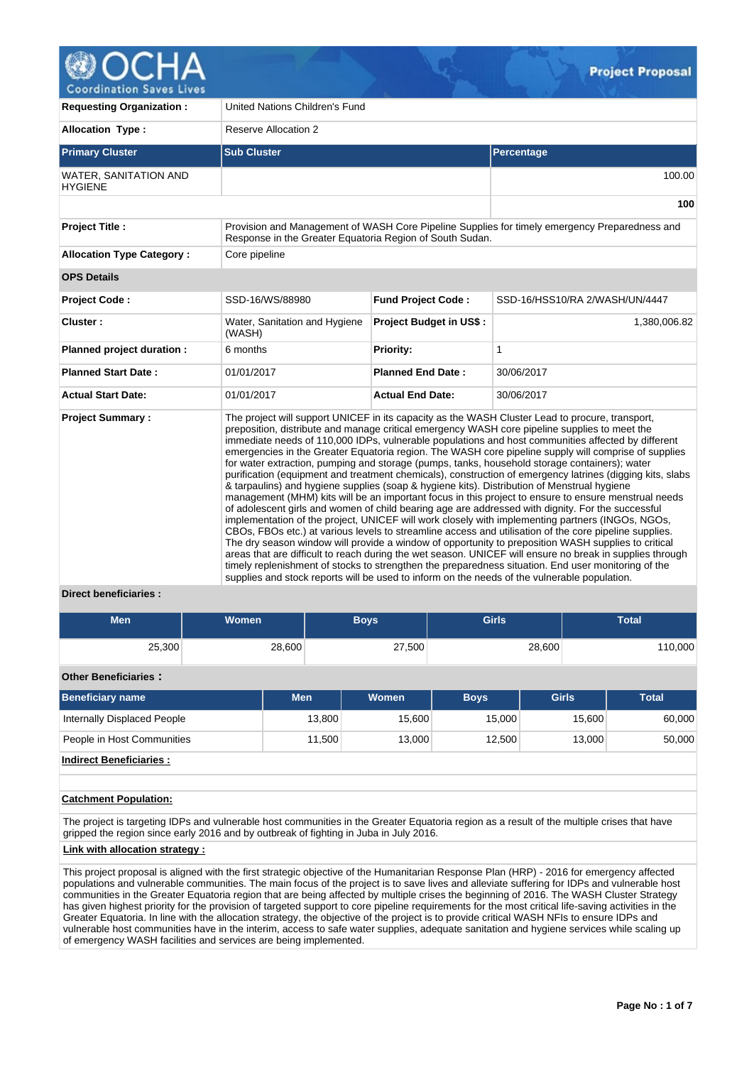

**Requesting Organization :** United Nations Children's Fund

| <b>Allocation Type:</b>                           | Reserve Allocation 2                                                                                                                                                                                                                                                                                                                                                                                                                                                                                                                                                                                                                                                                                                                                                                                                                                                                                                                                                                                                                                                                                                                                                                                                                                                                                                                                                                                                                                                                                                                                                             |                                |                                                                                               |  |  |
|---------------------------------------------------|----------------------------------------------------------------------------------------------------------------------------------------------------------------------------------------------------------------------------------------------------------------------------------------------------------------------------------------------------------------------------------------------------------------------------------------------------------------------------------------------------------------------------------------------------------------------------------------------------------------------------------------------------------------------------------------------------------------------------------------------------------------------------------------------------------------------------------------------------------------------------------------------------------------------------------------------------------------------------------------------------------------------------------------------------------------------------------------------------------------------------------------------------------------------------------------------------------------------------------------------------------------------------------------------------------------------------------------------------------------------------------------------------------------------------------------------------------------------------------------------------------------------------------------------------------------------------------|--------------------------------|-----------------------------------------------------------------------------------------------|--|--|
| <b>Primary Cluster</b>                            | <b>Sub Cluster</b>                                                                                                                                                                                                                                                                                                                                                                                                                                                                                                                                                                                                                                                                                                                                                                                                                                                                                                                                                                                                                                                                                                                                                                                                                                                                                                                                                                                                                                                                                                                                                               |                                | Percentage                                                                                    |  |  |
| WATER, SANITATION AND<br><b>HYGIENE</b>           |                                                                                                                                                                                                                                                                                                                                                                                                                                                                                                                                                                                                                                                                                                                                                                                                                                                                                                                                                                                                                                                                                                                                                                                                                                                                                                                                                                                                                                                                                                                                                                                  |                                | 100.00                                                                                        |  |  |
|                                                   |                                                                                                                                                                                                                                                                                                                                                                                                                                                                                                                                                                                                                                                                                                                                                                                                                                                                                                                                                                                                                                                                                                                                                                                                                                                                                                                                                                                                                                                                                                                                                                                  |                                | 100                                                                                           |  |  |
| Project Title :                                   | Response in the Greater Equatoria Region of South Sudan.                                                                                                                                                                                                                                                                                                                                                                                                                                                                                                                                                                                                                                                                                                                                                                                                                                                                                                                                                                                                                                                                                                                                                                                                                                                                                                                                                                                                                                                                                                                         |                                | Provision and Management of WASH Core Pipeline Supplies for timely emergency Preparedness and |  |  |
| <b>Allocation Type Category:</b>                  | Core pipeline                                                                                                                                                                                                                                                                                                                                                                                                                                                                                                                                                                                                                                                                                                                                                                                                                                                                                                                                                                                                                                                                                                                                                                                                                                                                                                                                                                                                                                                                                                                                                                    |                                |                                                                                               |  |  |
| <b>OPS Details</b>                                |                                                                                                                                                                                                                                                                                                                                                                                                                                                                                                                                                                                                                                                                                                                                                                                                                                                                                                                                                                                                                                                                                                                                                                                                                                                                                                                                                                                                                                                                                                                                                                                  |                                |                                                                                               |  |  |
| <b>Project Code:</b>                              | SSD-16/WS/88980                                                                                                                                                                                                                                                                                                                                                                                                                                                                                                                                                                                                                                                                                                                                                                                                                                                                                                                                                                                                                                                                                                                                                                                                                                                                                                                                                                                                                                                                                                                                                                  | <b>Fund Project Code:</b>      | SSD-16/HSS10/RA 2/WASH/UN/4447                                                                |  |  |
| Cluster:                                          | Water, Sanitation and Hygiene<br>(WASH)                                                                                                                                                                                                                                                                                                                                                                                                                                                                                                                                                                                                                                                                                                                                                                                                                                                                                                                                                                                                                                                                                                                                                                                                                                                                                                                                                                                                                                                                                                                                          | <b>Project Budget in US\$:</b> | 1,380,006.82                                                                                  |  |  |
| Planned project duration :                        | 6 months                                                                                                                                                                                                                                                                                                                                                                                                                                                                                                                                                                                                                                                                                                                                                                                                                                                                                                                                                                                                                                                                                                                                                                                                                                                                                                                                                                                                                                                                                                                                                                         | <b>Priority:</b>               | $\mathbf{1}$                                                                                  |  |  |
| <b>Planned Start Date:</b>                        | 01/01/2017                                                                                                                                                                                                                                                                                                                                                                                                                                                                                                                                                                                                                                                                                                                                                                                                                                                                                                                                                                                                                                                                                                                                                                                                                                                                                                                                                                                                                                                                                                                                                                       | <b>Planned End Date:</b>       | 30/06/2017                                                                                    |  |  |
| <b>Actual Start Date:</b>                         | 01/01/2017                                                                                                                                                                                                                                                                                                                                                                                                                                                                                                                                                                                                                                                                                                                                                                                                                                                                                                                                                                                                                                                                                                                                                                                                                                                                                                                                                                                                                                                                                                                                                                       | <b>Actual End Date:</b>        | 30/06/2017                                                                                    |  |  |
| <b>Project Summary:</b><br>Direct heneficiaries . | The project will support UNICEF in its capacity as the WASH Cluster Lead to procure, transport,<br>preposition, distribute and manage critical emergency WASH core pipeline supplies to meet the<br>immediate needs of 110,000 IDPs, vulnerable populations and host communities affected by different<br>emergencies in the Greater Equatoria region. The WASH core pipeline supply will comprise of supplies<br>for water extraction, pumping and storage (pumps, tanks, household storage containers); water<br>purification (equipment and treatment chemicals), construction of emergency latrines (digging kits, slabs<br>& tarpaulins) and hygiene supplies (soap & hygiene kits). Distribution of Menstrual hygiene<br>management (MHM) kits will be an important focus in this project to ensure to ensure menstrual needs<br>of adolescent girls and women of child bearing age are addressed with dignity. For the successful<br>implementation of the project, UNICEF will work closely with implementing partners (INGOs, NGOs,<br>CBOs, FBOs etc.) at various levels to streamline access and utilisation of the core pipeline supplies.<br>The dry season window will provide a window of opportunity to preposition WASH supplies to critical<br>areas that are difficult to reach during the wet season. UNICEF will ensure no break in supplies through<br>timely replenishment of stocks to strengthen the preparedness situation. End user monitoring of the<br>supplies and stock reports will be used to inform on the needs of the vulnerable population. |                                |                                                                                               |  |  |

# **Direct beneficiaries :**

| <b>Men</b> | Women <sup>'</sup> | Boys   | <b>Girls</b> | Total   |
|------------|--------------------|--------|--------------|---------|
| 25,300     | 28,600             | 27,500 | 28,600       | 110,000 |

# **Other Beneficiaries :**

| <b>Beneficiary name</b>        | <b>Men</b> | Women  | <b>Boys</b> | <b>Girls</b> | Total  |
|--------------------------------|------------|--------|-------------|--------------|--------|
| Internally Displaced People    | 13.800     | 15.600 | 15.000      | 15.600       | 60,000 |
| People in Host Communities     | 11.500     | 13,000 | 12,500      | 13.000       | 50,000 |
| <b>Indirect Beneficiaries:</b> |            |        |             |              |        |

### **Catchment Population:**

The project is targeting IDPs and vulnerable host communities in the Greater Equatoria region as a result of the multiple crises that have gripped the region since early 2016 and by outbreak of fighting in Juba in July 2016.

## **Link with allocation strategy :**

This project proposal is aligned with the first strategic objective of the Humanitarian Response Plan (HRP) - 2016 for emergency affected populations and vulnerable communities. The main focus of the project is to save lives and alleviate suffering for IDPs and vulnerable host communities in the Greater Equatoria region that are being affected by multiple crises the beginning of 2016. The WASH Cluster Strategy has given highest priority for the provision of targeted support to core pipeline requirements for the most critical life-saving activities in the Greater Equatoria. In line with the allocation strategy, the objective of the project is to provide critical WASH NFIs to ensure IDPs and vulnerable host communities have in the interim, access to safe water supplies, adequate sanitation and hygiene services while scaling up of emergency WASH facilities and services are being implemented.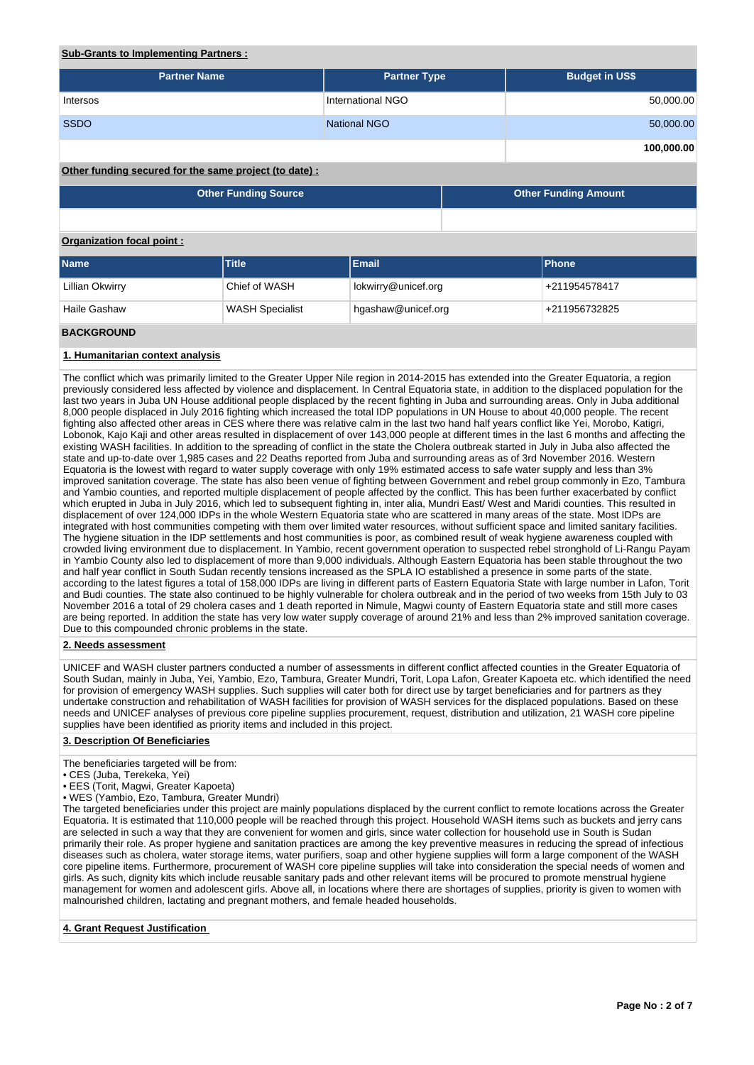# **Sub-Grants to Implementing Partners :**

| <b>Partner Name</b> | <b>Partner Type</b>      | <b>Budget in US\$</b> |
|---------------------|--------------------------|-----------------------|
| Intersos            | <b>International NGO</b> | 50,000.00             |
| <b>SSDO</b>         | <b>National NGO</b>      | 50,000.00             |
|                     |                          | 100,000.00            |

### **Other funding secured for the same project (to date) :**

| <b>Other Funding Source</b> | <b>Other Funding Amount</b> |
|-----------------------------|-----------------------------|
|                             |                             |

### **Organization focal point :**

| <b>Name</b>     | <b>Title</b>           | Email               | <b>Phone</b>  |
|-----------------|------------------------|---------------------|---------------|
| Lillian Okwirry | Chief of WASH          | lokwirry@unicef.org | +211954578417 |
| Haile Gashaw    | <b>WASH Specialist</b> | hgashaw@unicef.org  | +211956732825 |
|                 |                        |                     |               |

### **BACKGROUND**

## **1. Humanitarian context analysis**

The conflict which was primarily limited to the Greater Upper Nile region in 2014-2015 has extended into the Greater Equatoria, a region previously considered less affected by violence and displacement. In Central Equatoria state, in addition to the displaced population for the last two years in Juba UN House additional people displaced by the recent fighting in Juba and surrounding areas. Only in Juba additional 8,000 people displaced in July 2016 fighting which increased the total IDP populations in UN House to about 40,000 people. The recent fighting also affected other areas in CES where there was relative calm in the last two hand half years conflict like Yei, Morobo, Katigri, Lobonok, Kajo Kaji and other areas resulted in displacement of over 143,000 people at different times in the last 6 months and affecting the existing WASH facilities. In addition to the spreading of conflict in the state the Cholera outbreak started in July in Juba also affected the state and up-to-date over 1,985 cases and 22 Deaths reported from Juba and surrounding areas as of 3rd November 2016. Western Equatoria is the lowest with regard to water supply coverage with only 19% estimated access to safe water supply and less than 3% improved sanitation coverage. The state has also been venue of fighting between Government and rebel group commonly in Ezo, Tambura and Yambio counties, and reported multiple displacement of people affected by the conflict. This has been further exacerbated by conflict which erupted in Juba in July 2016, which led to subsequent fighting in, inter alia, Mundri East/ West and Maridi counties. This resulted in displacement of over 124,000 IDPs in the whole Western Equatoria state who are scattered in many areas of the state. Most IDPs are integrated with host communities competing with them over limited water resources, without sufficient space and limited sanitary facilities. The hygiene situation in the IDP settlements and host communities is poor, as combined result of weak hygiene awareness coupled with crowded living environment due to displacement. In Yambio, recent government operation to suspected rebel stronghold of Li-Rangu Payam in Yambio County also led to displacement of more than 9,000 individuals. Although Eastern Equatoria has been stable throughout the two and half year conflict in South Sudan recently tensions increased as the SPLA IO established a presence in some parts of the state. according to the latest figures a total of 158,000 IDPs are living in different parts of Eastern Equatoria State with large number in Lafon, Torit and Budi counties. The state also continued to be highly vulnerable for cholera outbreak and in the period of two weeks from 15th July to 03 November 2016 a total of 29 cholera cases and 1 death reported in Nimule, Magwi county of Eastern Equatoria state and still more cases are being reported. In addition the state has very low water supply coverage of around 21% and less than 2% improved sanitation coverage. Due to this compounded chronic problems in the state.

### **2. Needs assessment**

UNICEF and WASH cluster partners conducted a number of assessments in different conflict affected counties in the Greater Equatoria of South Sudan, mainly in Juba, Yei, Yambio, Ezo, Tambura, Greater Mundri, Torit, Lopa Lafon, Greater Kapoeta etc. which identified the need for provision of emergency WASH supplies. Such supplies will cater both for direct use by target beneficiaries and for partners as they undertake construction and rehabilitation of WASH facilities for provision of WASH services for the displaced populations. Based on these needs and UNICEF analyses of previous core pipeline supplies procurement, request, distribution and utilization, 21 WASH core pipeline supplies have been identified as priority items and included in this project.

### **3. Description Of Beneficiaries**

- The beneficiaries targeted will be from:
- CES (Juba, Terekeka, Yei)
- EES (Torit, Magwi, Greater Kapoeta)
- WES (Yambio, Ezo, Tambura, Greater Mundri)

The targeted beneficiaries under this project are mainly populations displaced by the current conflict to remote locations across the Greater Equatoria. It is estimated that 110,000 people will be reached through this project. Household WASH items such as buckets and jerry cans are selected in such a way that they are convenient for women and girls, since water collection for household use in South is Sudan primarily their role. As proper hygiene and sanitation practices are among the key preventive measures in reducing the spread of infectious diseases such as cholera, water storage items, water purifiers, soap and other hygiene supplies will form a large component of the WASH core pipeline items. Furthermore, procurement of WASH core pipeline supplies will take into consideration the special needs of women and girls. As such, dignity kits which include reusable sanitary pads and other relevant items will be procured to promote menstrual hygiene management for women and adolescent girls. Above all, in locations where there are shortages of supplies, priority is given to women with malnourished children, lactating and pregnant mothers, and female headed households.

#### **4. Grant Request Justification**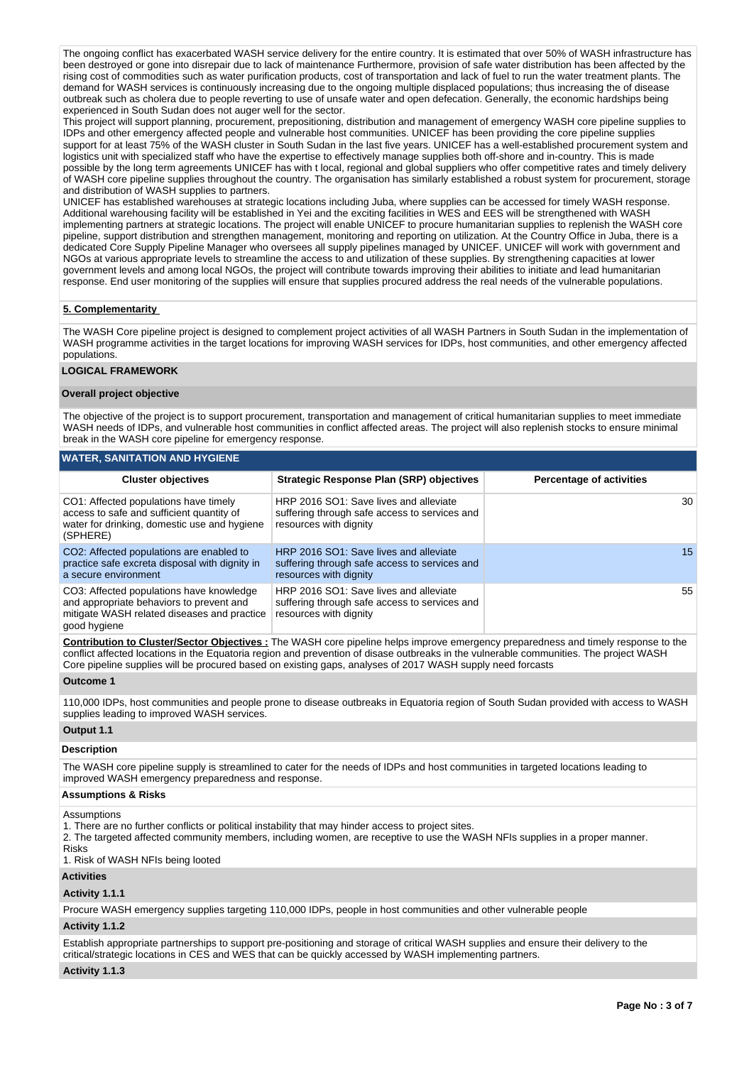The ongoing conflict has exacerbated WASH service delivery for the entire country. It is estimated that over 50% of WASH infrastructure has been destroyed or gone into disrepair due to lack of maintenance Furthermore, provision of safe water distribution has been affected by the rising cost of commodities such as water purification products, cost of transportation and lack of fuel to run the water treatment plants. The demand for WASH services is continuously increasing due to the ongoing multiple displaced populations; thus increasing the of disease outbreak such as cholera due to people reverting to use of unsafe water and open defecation. Generally, the economic hardships being experienced in South Sudan does not auger well for the sector.

This project will support planning, procurement, prepositioning, distribution and management of emergency WASH core pipeline supplies to IDPs and other emergency affected people and vulnerable host communities. UNICEF has been providing the core pipeline supplies support for at least 75% of the WASH cluster in South Sudan in the last five years. UNICEF has a well-established procurement system and logistics unit with specialized staff who have the expertise to effectively manage supplies both off-shore and in-country. This is made possible by the long term agreements UNICEF has with t local, regional and global suppliers who offer competitive rates and timely delivery of WASH core pipeline supplies throughout the country. The organisation has similarly established a robust system for procurement, storage and distribution of WASH supplies to partners.

UNICEF has established warehouses at strategic locations including Juba, where supplies can be accessed for timely WASH response. Additional warehousing facility will be established in Yei and the exciting facilities in WES and EES will be strengthened with WASH implementing partners at strategic locations. The project will enable UNICEF to procure humanitarian supplies to replenish the WASH core pipeline, support distribution and strengthen management, monitoring and reporting on utilization. At the Country Office in Juba, there is a dedicated Core Supply Pipeline Manager who oversees all supply pipelines managed by UNICEF. UNICEF will work with government and NGOs at various appropriate levels to streamline the access to and utilization of these supplies. By strengthening capacities at lower government levels and among local NGOs, the project will contribute towards improving their abilities to initiate and lead humanitarian response. End user monitoring of the supplies will ensure that supplies procured address the real needs of the vulnerable populations.

# **5. Complementarity**

The WASH Core pipeline project is designed to complement project activities of all WASH Partners in South Sudan in the implementation of WASH programme activities in the target locations for improving WASH services for IDPs, host communities, and other emergency affected populations.

## **LOGICAL FRAMEWORK**

## **Overall project objective**

The objective of the project is to support procurement, transportation and management of critical humanitarian supplies to meet immediate WASH needs of IDPs, and vulnerable host communities in conflict affected areas. The project will also replenish stocks to ensure minimal break in the WASH core pipeline for emergency response.

| <b>WATER, SANITATION AND HYGIENE</b>                                                                                                                |                                                                                                                   |                                 |
|-----------------------------------------------------------------------------------------------------------------------------------------------------|-------------------------------------------------------------------------------------------------------------------|---------------------------------|
| <b>Cluster objectives</b>                                                                                                                           | <b>Strategic Response Plan (SRP) objectives</b>                                                                   | <b>Percentage of activities</b> |
| CO1: Affected populations have timely<br>access to safe and sufficient quantity of<br>water for drinking, domestic use and hygiene<br>(SPHERE)      | HRP 2016 SO1: Save lives and alleviate<br>suffering through safe access to services and<br>resources with dignity | 30                              |
| CO2: Affected populations are enabled to<br>practice safe excreta disposal with dignity in<br>a secure environment                                  | HRP 2016 SO1: Save lives and alleviate<br>suffering through safe access to services and<br>resources with dignity | 15                              |
| CO3: Affected populations have knowledge<br>and appropriate behaviors to prevent and<br>mitigate WASH related diseases and practice<br>good hygiene | HRP 2016 SO1: Save lives and alleviate<br>suffering through safe access to services and<br>resources with dignity | 55                              |

**Contribution to Cluster/Sector Objectives :** The WASH core pipeline helps improve emergency preparedness and timely response to the conflict affected locations in the Equatoria region and prevention of disase outbreaks in the vulnerable communities. The project WASH Core pipeline supplies will be procured based on existing gaps, analyses of 2017 WASH supply need forcasts

### **Outcome 1**

110,000 IDPs, host communities and people prone to disease outbreaks in Equatoria region of South Sudan provided with access to WASH supplies leading to improved WASH services.

# **Output 1.1**

# **Description**

The WASH core pipeline supply is streamlined to cater for the needs of IDPs and host communities in targeted locations leading to improved WASH emergency preparedness and response.

# **Assumptions & Risks**

### **Assumptions**

1. There are no further conflicts or political instability that may hinder access to project sites.

2. The targeted affected community members, including women, are receptive to use the WASH NFIs supplies in a proper manner.

### Risks

1. Risk of WASH NFIs being looted

# **Activities**

# **Activity 1.1.1**

Procure WASH emergency supplies targeting 110,000 IDPs, people in host communities and other vulnerable people

# **Activity 1.1.2**

Establish appropriate partnerships to support pre-positioning and storage of critical WASH supplies and ensure their delivery to the critical/strategic locations in CES and WES that can be quickly accessed by WASH implementing partners.

### **Activity 1.1.3**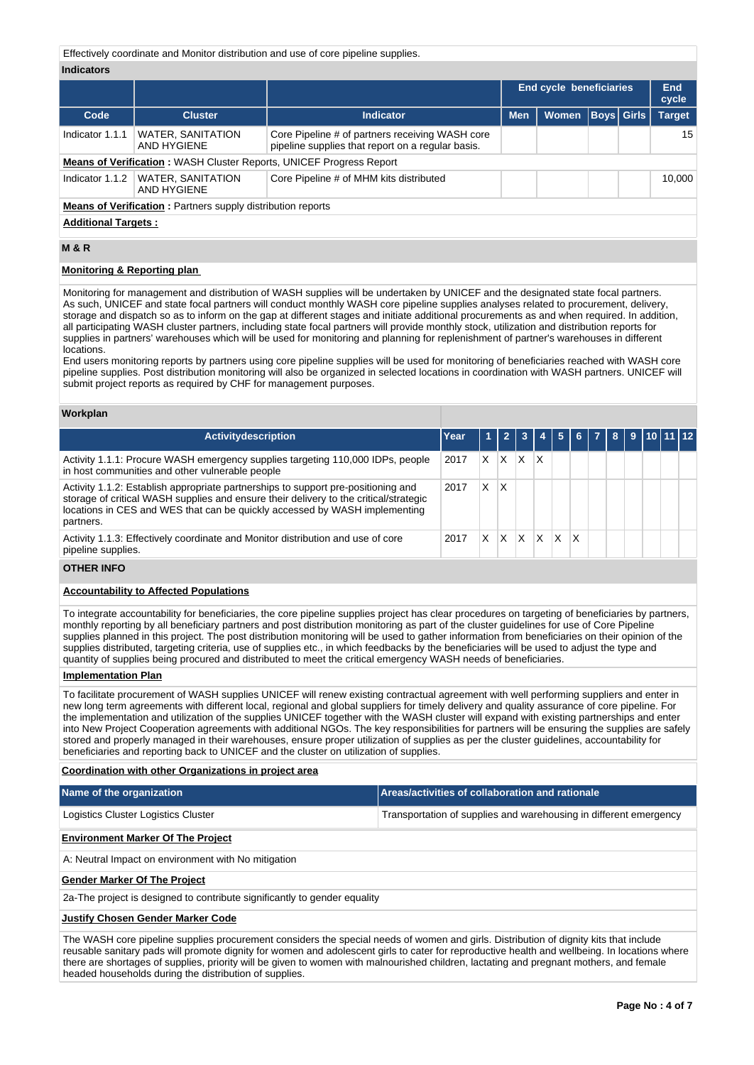Effectively coordinate and Monitor distribution and use of core pipeline supplies.

#### **Indicators**

|                                                                    |                                                                            | End cycle beneficiaries                                                                              |            |              |                   |  | <b>End</b><br>cycle |  |
|--------------------------------------------------------------------|----------------------------------------------------------------------------|------------------------------------------------------------------------------------------------------|------------|--------------|-------------------|--|---------------------|--|
| Code                                                               | <b>Cluster</b>                                                             | Indicator                                                                                            | <b>Men</b> | <b>Women</b> | <b>Boys Girls</b> |  | <b>Target</b>       |  |
| Indicator 1.1.1                                                    | WATER, SANITATION<br>AND HYGIENE                                           | Core Pipeline # of partners receiving WASH core<br>pipeline supplies that report on a regular basis. |            |              |                   |  | 15                  |  |
|                                                                    | <b>Means of Verification:</b> WASH Cluster Reports, UNICEF Progress Report |                                                                                                      |            |              |                   |  |                     |  |
| Indicator 1.1.2                                                    | WATER, SANITATION<br>AND HYGIENE                                           | Core Pipeline # of MHM kits distributed                                                              |            |              |                   |  | 10,000              |  |
| <b>Means of Verification:</b> Partners supply distribution reports |                                                                            |                                                                                                      |            |              |                   |  |                     |  |
| <b>Additional Targets:</b>                                         |                                                                            |                                                                                                      |            |              |                   |  |                     |  |

### **M & R**

# **Monitoring & Reporting plan**

Monitoring for management and distribution of WASH supplies will be undertaken by UNICEF and the designated state focal partners. As such, UNICEF and state focal partners will conduct monthly WASH core pipeline supplies analyses related to procurement, delivery, storage and dispatch so as to inform on the gap at different stages and initiate additional procurements as and when required. In addition, all participating WASH cluster partners, including state focal partners will provide monthly stock, utilization and distribution reports for supplies in partners' warehouses which will be used for monitoring and planning for replenishment of partner's warehouses in different locations.

End users monitoring reports by partners using core pipeline supplies will be used for monitoring of beneficiaries reached with WASH core pipeline supplies. Post distribution monitoring will also be organized in selected locations in coordination with WASH partners. UNICEF will submit project reports as required by CHF for management purposes.

#### **Workplan**

| Activitydescription                                                                                                                                                                                                                                                   | Year |    | $\mathbf{\Omega}$ | l 3 |              |   | 5   6   7   8   9  10   11   12 |  |  |  |
|-----------------------------------------------------------------------------------------------------------------------------------------------------------------------------------------------------------------------------------------------------------------------|------|----|-------------------|-----|--------------|---|---------------------------------|--|--|--|
| Activity 1.1.1: Procure WASH emergency supplies targeting 110,000 IDPs, people<br>in host communities and other vulnerable people                                                                                                                                     | 2017 | X. | $\mathsf{\chi}$   | X   | X            |   |                                 |  |  |  |
| Activity 1.1.2: Establish appropriate partnerships to support pre-positioning and<br>storage of critical WASH supplies and ensure their delivery to the critical/strategic<br>locations in CES and WES that can be quickly accessed by WASH implementing<br>partners. | 2017 | X  | X                 |     |              |   |                                 |  |  |  |
| Activity 1.1.3: Effectively coordinate and Monitor distribution and use of core<br>pipeline supplies.                                                                                                                                                                 | 2017 | X. | X                 | X   | $\mathsf{x}$ | X | X                               |  |  |  |

# **OTHER INFO**

#### **Accountability to Affected Populations**

To integrate accountability for beneficiaries, the core pipeline supplies project has clear procedures on targeting of beneficiaries by partners, monthly reporting by all beneficiary partners and post distribution monitoring as part of the cluster guidelines for use of Core Pipeline supplies planned in this project. The post distribution monitoring will be used to gather information from beneficiaries on their opinion of the supplies distributed, targeting criteria, use of supplies etc., in which feedbacks by the beneficiaries will be used to adjust the type and quantity of supplies being procured and distributed to meet the critical emergency WASH needs of beneficiaries.

#### **Implementation Plan**

To facilitate procurement of WASH supplies UNICEF will renew existing contractual agreement with well performing suppliers and enter in new long term agreements with different local, regional and global suppliers for timely delivery and quality assurance of core pipeline. For the implementation and utilization of the supplies UNICEF together with the WASH cluster will expand with existing partnerships and enter into New Project Cooperation agreements with additional NGOs. The key responsibilities for partners will be ensuring the supplies are safely stored and properly managed in their warehouses, ensure proper utilization of supplies as per the cluster guidelines, accountability for beneficiaries and reporting back to UNICEF and the cluster on utilization of supplies.

#### **Coordination with other Organizations in project area**

| Fordernment Madrey Of The Business  |                                                                   |
|-------------------------------------|-------------------------------------------------------------------|
| Logistics Cluster Logistics Cluster | Transportation of supplies and warehousing in different emergency |
| Name of the organization            | Areas/activities of collaboration and rationale                   |
|                                     |                                                                   |

# **Environment Marker Of The Project**

A: Neutral Impact on environment with No mitigation

# **Gender Marker Of The Project**

2a-The project is designed to contribute significantly to gender equality

### **Justify Chosen Gender Marker Code**

The WASH core pipeline supplies procurement considers the special needs of women and girls. Distribution of dignity kits that include reusable sanitary pads will promote dignity for women and adolescent girls to cater for reproductive health and wellbeing. In locations where there are shortages of supplies, priority will be given to women with malnourished children, lactating and pregnant mothers, and female headed households during the distribution of supplies.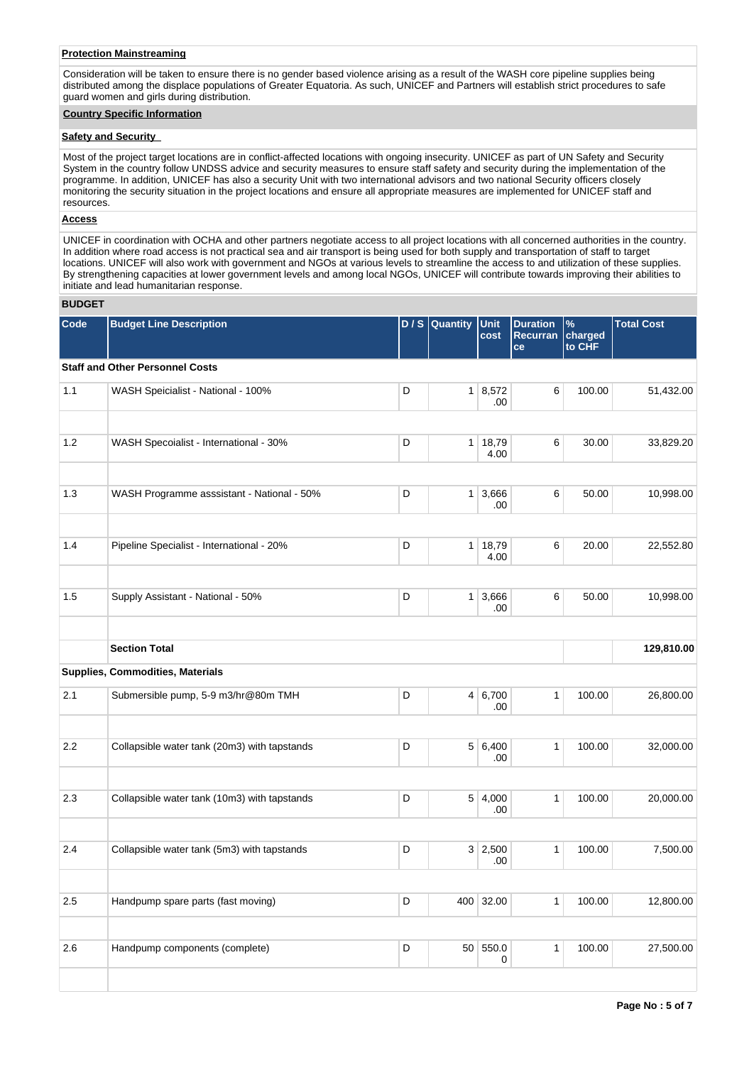# **Protection Mainstreaming**

Consideration will be taken to ensure there is no gender based violence arising as a result of the WASH core pipeline supplies being distributed among the displace populations of Greater Equatoria. As such, UNICEF and Partners will establish strict procedures to safe guard women and girls during distribution.

# **Country Specific Information**

### **Safety and Security**

Most of the project target locations are in conflict-affected locations with ongoing insecurity. UNICEF as part of UN Safety and Security System in the country follow UNDSS advice and security measures to ensure staff safety and security during the implementation of the programme. In addition, UNICEF has also a security Unit with two international advisors and two national Security officers closely monitoring the security situation in the project locations and ensure all appropriate measures are implemented for UNICEF staff and resources.

# **Access**

**BUDGET**

UNICEF in coordination with OCHA and other partners negotiate access to all project locations with all concerned authorities in the country. In addition where road access is not practical sea and air transport is being used for both supply and transportation of staff to target locations. UNICEF will also work with government and NGOs at various levels to streamline the access to and utilization of these supplies. By strengthening capacities at lower government levels and among local NGOs, UNICEF will contribute towards improving their abilities to initiate and lead humanitarian response.

| <b>Budget Line Description</b>               |                                |              | <b>Unit</b><br>cost | <b>Duration</b><br><b>Recurran</b><br>ce                         | $\%$<br>charged<br>to CHF | <b>Total Cost</b> |
|----------------------------------------------|--------------------------------|--------------|---------------------|------------------------------------------------------------------|---------------------------|-------------------|
| <b>Staff and Other Personnel Costs</b>       |                                |              |                     |                                                                  |                           |                   |
| WASH Speicialist - National - 100%           | D                              | $\mathbf{1}$ | 8,572<br>.00        | 6                                                                | 100.00                    | 51,432.00         |
|                                              |                                |              |                     |                                                                  |                           |                   |
| WASH Specoialist - International - 30%       | D                              | 1            | 18,79<br>4.00       | 6                                                                | 30.00                     | 33,829.20         |
|                                              |                                |              |                     |                                                                  |                           |                   |
| WASH Programme asssistant - National - 50%   | D                              | 1            | 3,666<br>.00        | 6                                                                | 50.00                     | 10,998.00         |
|                                              |                                |              |                     |                                                                  |                           |                   |
| Pipeline Specialist - International - 20%    | D                              |              | 18,79<br>4.00       | 6                                                                | 20.00                     | 22,552.80         |
|                                              |                                |              |                     |                                                                  |                           |                   |
| Supply Assistant - National - 50%            | D                              | 1            | 3,666<br>.00        | 6                                                                | 50.00                     | 10,998.00         |
|                                              |                                |              |                     |                                                                  |                           |                   |
| <b>Section Total</b>                         |                                |              |                     |                                                                  |                           | 129,810.00        |
| Supplies, Commodities, Materials             |                                |              |                     |                                                                  |                           |                   |
| Submersible pump, 5-9 m3/hr@80m TMH          | D                              | 4            | 6,700<br>.00        | $\mathbf{1}$                                                     | 100.00                    | 26,800.00         |
|                                              |                                |              |                     |                                                                  |                           |                   |
| Collapsible water tank (20m3) with tapstands | D                              |              | 6,400<br>.00        | $\mathbf{1}$                                                     | 100.00                    | 32,000.00         |
|                                              |                                |              |                     |                                                                  |                           |                   |
| Collapsible water tank (10m3) with tapstands | D                              |              | .00                 | 1                                                                | 100.00                    | 20,000.00         |
|                                              |                                |              |                     |                                                                  |                           |                   |
| Collapsible water tank (5m3) with tapstands  | D                              |              | .00                 | $\mathbf{1}$                                                     | 100.00                    | 7,500.00          |
|                                              |                                |              |                     |                                                                  |                           |                   |
| Handpump spare parts (fast moving)           | D                              |              |                     | $\mathbf{1}$                                                     | 100.00                    | 12,800.00         |
|                                              |                                |              |                     |                                                                  |                           |                   |
|                                              | D                              |              | 0                   | $\mathbf{1}$                                                     |                           | 27,500.00         |
|                                              | Handpump components (complete) |              | $D/S$ Quantity      | 1<br>5<br> 4,000<br>5<br>$3 \mid 2,500$<br>400 32.00<br>50 550.0 |                           | 100.00            |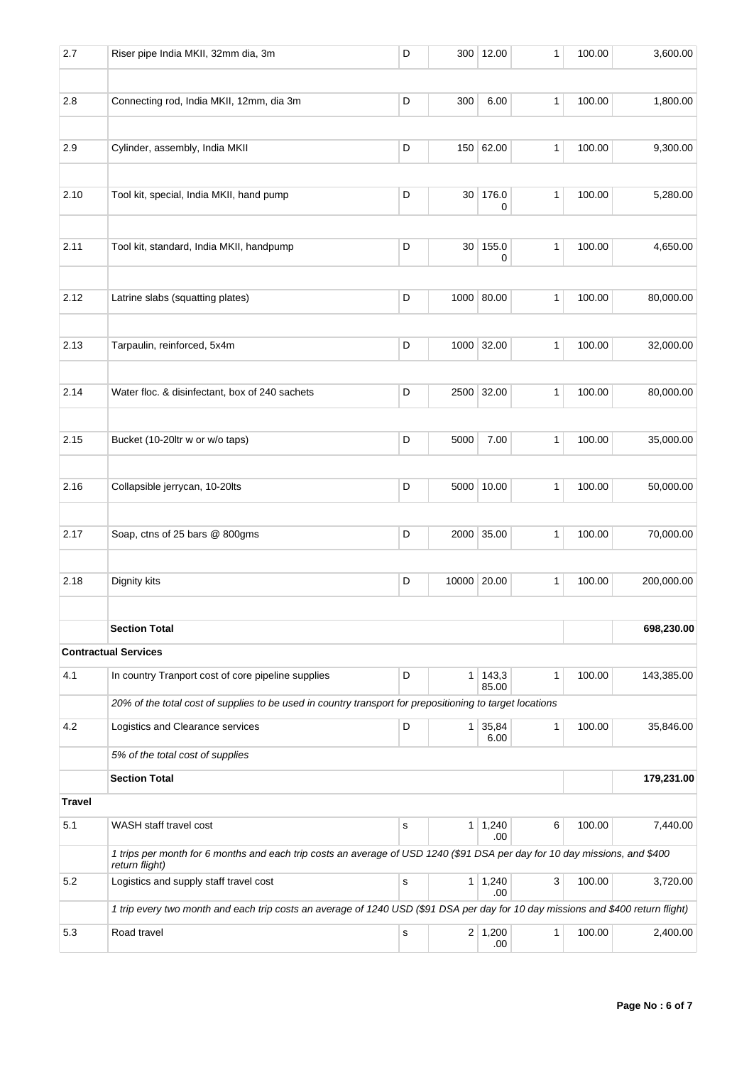| 2.7           | Riser pipe India MKII, 32mm dia, 3m                                                                                                          | D |                 | 300 12.00             | 1            | 100.00 | 3,600.00   |
|---------------|----------------------------------------------------------------------------------------------------------------------------------------------|---|-----------------|-----------------------|--------------|--------|------------|
| 2.8           | Connecting rod, India MKII, 12mm, dia 3m                                                                                                     | D | 300             | 6.00                  | 1            | 100.00 | 1,800.00   |
| 2.9           | Cylinder, assembly, India MKII                                                                                                               | D |                 | 150 62.00             | 1            | 100.00 | 9,300.00   |
| 2.10          | Tool kit, special, India MKII, hand pump                                                                                                     | D | 30 <sup>1</sup> | 176.0<br>0            | 1            | 100.00 | 5,280.00   |
| 2.11          | Tool kit, standard, India MKII, handpump                                                                                                     | D | 30 <sup>1</sup> | 155.0<br>0            | $\mathbf{1}$ | 100.00 | 4,650.00   |
| 2.12          | Latrine slabs (squatting plates)                                                                                                             | D |                 | 1000 80.00            | 1            | 100.00 | 80,000.00  |
| 2.13          | Tarpaulin, reinforced, 5x4m                                                                                                                  | D |                 | 1000 32.00            | 1            | 100.00 | 32,000.00  |
| 2.14          | Water floc. & disinfectant, box of 240 sachets                                                                                               | D |                 | 2500 32.00            | 1            | 100.00 | 80,000.00  |
| 2.15          | Bucket (10-20ltr w or w/o taps)                                                                                                              | D | 5000            | 7.00                  | 1            | 100.00 | 35,000.00  |
| 2.16          | Collapsible jerrycan, 10-20lts                                                                                                               | D |                 | 5000 10.00            | 1            | 100.00 | 50,000.00  |
| 2.17          | Soap, ctns of 25 bars @ 800gms                                                                                                               | D |                 | 2000 35.00            | 1            | 100.00 | 70,000.00  |
| 2.18          | Dignity kits                                                                                                                                 | D | 10000 20.00     |                       | 1            | 100.00 | 200,000.00 |
|               | <b>Section Total</b><br><b>Contractual Services</b>                                                                                          |   |                 |                       |              |        | 698,230.00 |
| 4.1           | In country Tranport cost of core pipeline supplies                                                                                           | D | 1 <sup>1</sup>  | 143,3<br>85.00        | 1            | 100.00 | 143,385.00 |
| 4.2           | 20% of the total cost of supplies to be used in country transport for prepositioning to target locations<br>Logistics and Clearance services | D |                 | $1 \mid 35,84$        | 1            | 100.00 | 35,846.00  |
|               | 5% of the total cost of supplies                                                                                                             |   |                 | 6.00                  |              |        |            |
|               | <b>Section Total</b>                                                                                                                         |   |                 |                       |              |        | 179,231.00 |
| <b>Travel</b> |                                                                                                                                              |   |                 |                       |              |        |            |
| 5.1           | WASH staff travel cost                                                                                                                       | s |                 | $1 \mid 1,240$<br>.00 | 6            | 100.00 | 7,440.00   |
|               | 1 trips per month for 6 months and each trip costs an average of USD 1240 (\$91 DSA per day for 10 day missions, and \$400<br>return flight) |   |                 |                       |              |        |            |
| 5.2           | Logistics and supply staff travel cost                                                                                                       | s |                 | $1 \mid 1,240$<br>.00 | 3            | 100.00 | 3,720.00   |
|               | 1 trip every two month and each trip costs an average of 1240 USD (\$91 DSA per day for 10 day missions and \$400 return flight)             |   |                 |                       |              |        |            |
| 5.3           | Road travel                                                                                                                                  | s |                 | 2 1,200<br>.00        | 1            | 100.00 | 2,400.00   |